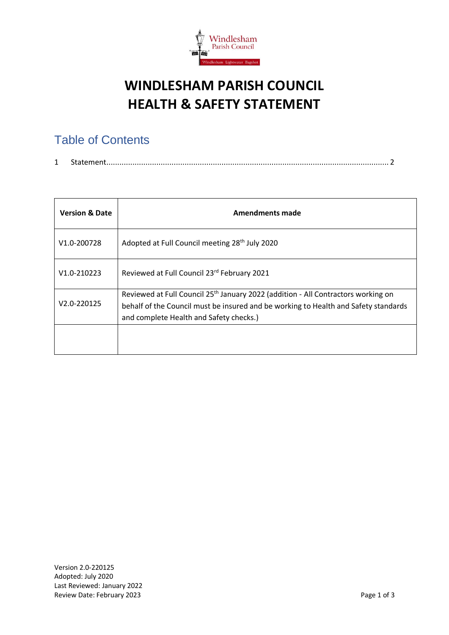

## **WINDLESHAM PARISH COUNCIL HEALTH & SAFETY STATEMENT**

## Table of Contents

| . . | . 3. [11] 3. [11] 3. [11] 3. [11] 3. [11] 3. [11] 3. [11] 3. [11] 3. [11] 3. [11] 4. [11] 4. [11] 5. [11] 5. [1 |  |
|-----|-----------------------------------------------------------------------------------------------------------------|--|
|-----|-----------------------------------------------------------------------------------------------------------------|--|

| <b>Version &amp; Date</b> | <b>Amendments made</b>                                                                                                                                                                                                          |
|---------------------------|---------------------------------------------------------------------------------------------------------------------------------------------------------------------------------------------------------------------------------|
| V <sub>1.0</sub> -200728  | Adopted at Full Council meeting 28 <sup>th</sup> July 2020                                                                                                                                                                      |
| V1.0-210223               | Reviewed at Full Council 23rd February 2021                                                                                                                                                                                     |
| V2.0-220125               | Reviewed at Full Council 25 <sup>th</sup> January 2022 (addition - All Contractors working on<br>behalf of the Council must be insured and be working to Health and Safety standards<br>and complete Health and Safety checks.) |
|                           |                                                                                                                                                                                                                                 |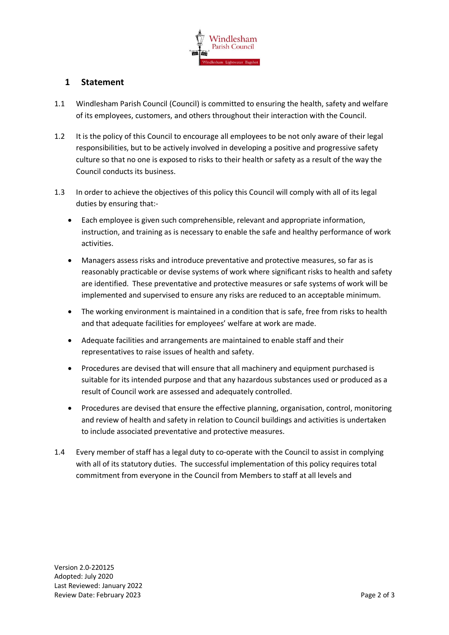

## <span id="page-1-0"></span>**1 Statement**

- 1.1 Windlesham Parish Council (Council) is committed to ensuring the health, safety and welfare of its employees, customers, and others throughout their interaction with the Council.
- 1.2 It is the policy of this Council to encourage all employees to be not only aware of their legal responsibilities, but to be actively involved in developing a positive and progressive safety culture so that no one is exposed to risks to their health or safety as a result of the way the Council conducts its business.
- 1.3 In order to achieve the objectives of this policy this Council will comply with all of its legal duties by ensuring that:-
	- Each employee is given such comprehensible, relevant and appropriate information, instruction, and training as is necessary to enable the safe and healthy performance of work activities.
	- Managers assess risks and introduce preventative and protective measures, so far as is reasonably practicable or devise systems of work where significant risks to health and safety are identified. These preventative and protective measures or safe systems of work will be implemented and supervised to ensure any risks are reduced to an acceptable minimum.
	- The working environment is maintained in a condition that is safe, free from risks to health and that adequate facilities for employees' welfare at work are made.
	- Adequate facilities and arrangements are maintained to enable staff and their representatives to raise issues of health and safety.
	- Procedures are devised that will ensure that all machinery and equipment purchased is suitable for its intended purpose and that any hazardous substances used or produced as a result of Council work are assessed and adequately controlled.
	- Procedures are devised that ensure the effective planning, organisation, control, monitoring and review of health and safety in relation to Council buildings and activities is undertaken to include associated preventative and protective measures.
- 1.4 Every member of staff has a legal duty to co-operate with the Council to assist in complying with all of its statutory duties. The successful implementation of this policy requires total commitment from everyone in the Council from Members to staff at all levels and